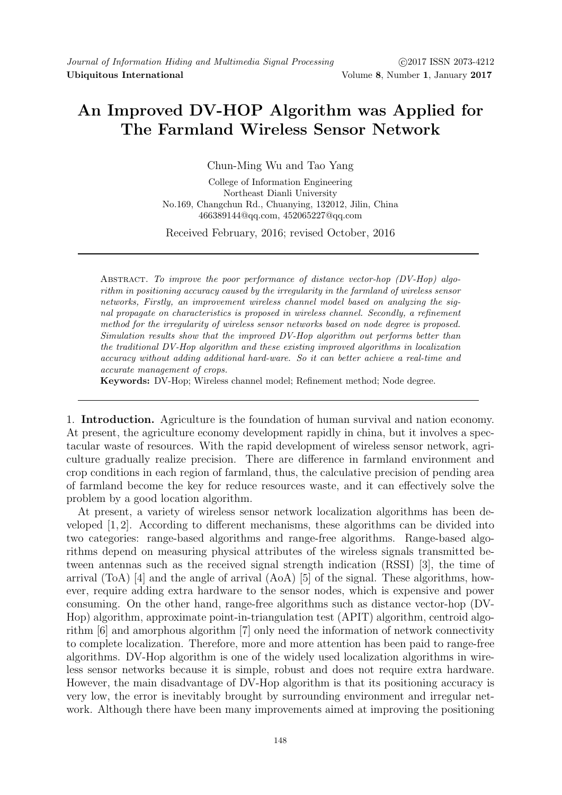## An Improved DV-HOP Algorithm was Applied for The Farmland Wireless Sensor Network

Chun-Ming Wu and Tao Yang

College of Information Engineering Northeast Dianli University No.169, Changchun Rd., Chuanying, 132012, Jilin, China 466389144@qq.com, 452065227@qq.com

Received February, 2016; revised October, 2016

Abstract. To improve the poor performance of distance vector-hop (DV-Hop) algorithm in positioning accuracy caused by the irregularity in the farmland of wireless sensor networks, Firstly, an improvement wireless channel model based on analyzing the signal propagate on characteristics is proposed in wireless channel. Secondly, a refinement method for the irregularity of wireless sensor networks based on node degree is proposed. Simulation results show that the improved DV-Hop algorithm out performs better than the traditional DV-Hop algorithm and these existing improved algorithms in localization accuracy without adding additional hard-ware. So it can better achieve a real-time and accurate management of crops.

Keywords: DV-Hop; Wireless channel model; Refinement method; Node degree.

1. Introduction. Agriculture is the foundation of human survival and nation economy. At present, the agriculture economy development rapidly in china, but it involves a spectacular waste of resources. With the rapid development of wireless sensor network, agriculture gradually realize precision. There are difference in farmland environment and crop conditions in each region of farmland, thus, the calculative precision of pending area of farmland become the key for reduce resources waste, and it can effectively solve the problem by a good location algorithm.

At present, a variety of wireless sensor network localization algorithms has been developed [1, 2]. According to different mechanisms, these algorithms can be divided into two categories: range-based algorithms and range-free algorithms. Range-based algorithms depend on measuring physical attributes of the wireless signals transmitted between antennas such as the received signal strength indication (RSSI) [3], the time of arrival (ToA) [4] and the angle of arrival (AoA) [5] of the signal. These algorithms, however, require adding extra hardware to the sensor nodes, which is expensive and power consuming. On the other hand, range-free algorithms such as distance vector-hop (DV-Hop) algorithm, approximate point-in-triangulation test (APIT) algorithm, centroid algorithm [6] and amorphous algorithm [7] only need the information of network connectivity to complete localization. Therefore, more and more attention has been paid to range-free algorithms. DV-Hop algorithm is one of the widely used localization algorithms in wireless sensor networks because it is simple, robust and does not require extra hardware. However, the main disadvantage of DV-Hop algorithm is that its positioning accuracy is very low, the error is inevitably brought by surrounding environment and irregular network. Although there have been many improvements aimed at improving the positioning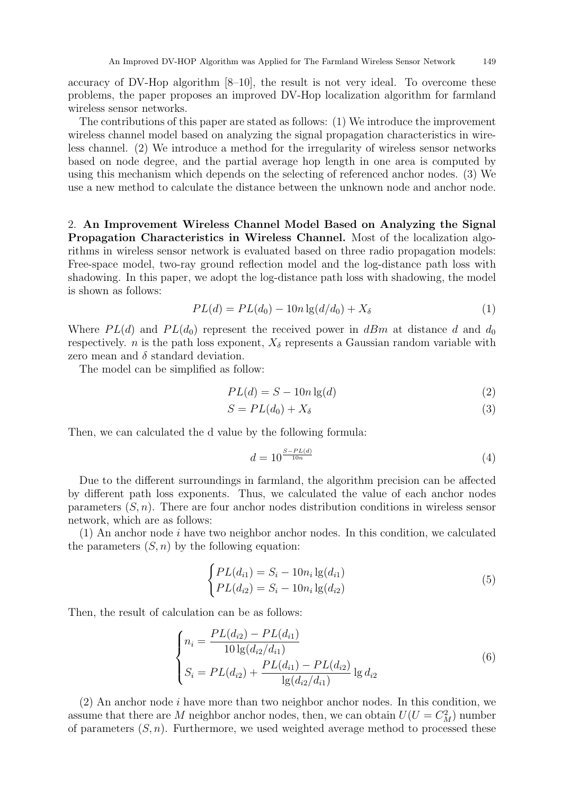accuracy of DV-Hop algorithm [8–10], the result is not very ideal. To overcome these problems, the paper proposes an improved DV-Hop localization algorithm for farmland wireless sensor networks.

The contributions of this paper are stated as follows: (1) We introduce the improvement wireless channel model based on analyzing the signal propagation characteristics in wireless channel. (2) We introduce a method for the irregularity of wireless sensor networks based on node degree, and the partial average hop length in one area is computed by using this mechanism which depends on the selecting of referenced anchor nodes. (3) We use a new method to calculate the distance between the unknown node and anchor node.

2. An Improvement Wireless Channel Model Based on Analyzing the Signal Propagation Characteristics in Wireless Channel. Most of the localization algorithms in wireless sensor network is evaluated based on three radio propagation models: Free-space model, two-ray ground reflection model and the log-distance path loss with shadowing. In this paper, we adopt the log-distance path loss with shadowing, the model is shown as follows:

$$
PL(d) = PL(d_0) - 10n \lg(d/d_0) + X_{\delta}
$$
\n(1)

Where  $PL(d)$  and  $PL(d_0)$  represent the received power in dBm at distance d and  $d_0$ respectively. *n* is the path loss exponent,  $X_{\delta}$  represents a Gaussian random variable with zero mean and  $\delta$  standard deviation.

The model can be simplified as follow:

$$
PL(d) = S - 10n \lg(d)
$$
\n<sup>(2)</sup>

$$
S = PL(d_0) + X_\delta \tag{3}
$$

Then, we can calculated the d value by the following formula:

$$
d = 10^{\frac{S - PL(d)}{10n}}\tag{4}
$$

Due to the different surroundings in farmland, the algorithm precision can be affected by different path loss exponents. Thus, we calculated the value of each anchor nodes parameters  $(S, n)$ . There are four anchor nodes distribution conditions in wireless sensor network, which are as follows:

 $(1)$  An anchor node i have two neighbor anchor nodes. In this condition, we calculated the parameters  $(S, n)$  by the following equation:

$$
\begin{cases}\nPL(d_{i1}) = S_i - 10n_i \lg(d_{i1}) \\
PL(d_{i2}) = S_i - 10n_i \lg(d_{i2})\n\end{cases}
$$
\n(5)

Then, the result of calculation can be as follows:

$$
\begin{cases}\nn_i = \frac{PL(d_{i2}) - PL(d_{i1})}{10 \lg(d_{i2}/d_{i1})} \\
S_i = PL(d_{i2}) + \frac{PL(d_{i1}) - PL(d_{i2})}{\lg(d_{i2}/d_{i1})} \lg d_{i2}\n\end{cases} (6)
$$

 $(2)$  An anchor node i have more than two neighbor anchor nodes. In this condition, we assume that there are M neighbor anchor nodes, then, we can obtain  $U(U = C_M^2)$  number of parameters  $(S, n)$ . Furthermore, we used weighted average method to processed these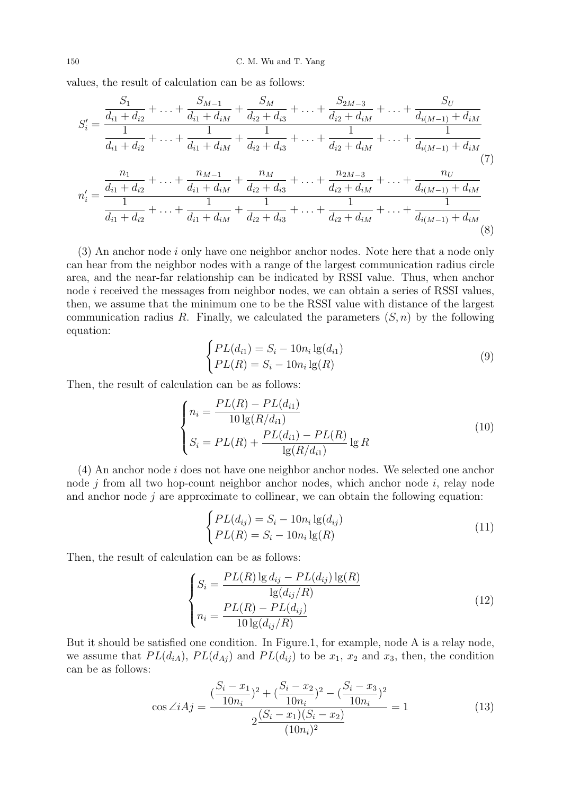values, the result of calculation can be as follows:

$$
S'_{i} = \frac{\frac{S_{1}}{d_{i1} + d_{i2}} + \ldots + \frac{S_{M-1}}{d_{i1} + d_{iM}} + \frac{S_{M}}{d_{i2} + d_{i3}} + \ldots + \frac{S_{2M-3}}{d_{i2} + d_{iM}} + \ldots + \frac{S_{U}}{d_{i(M-1)} + d_{iM}}}{\frac{1}{d_{i1} + d_{i2}} + \ldots + \frac{1}{d_{i1} + d_{iM}} + \frac{1}{d_{i2} + d_{i3}} + \ldots + \frac{1}{d_{i2} + d_{iM}} + \ldots + \frac{1}{d_{i(M-1)} + d_{iM}}}
$$
\n
$$
n'_{i} = \frac{n_{1}}{\frac{1}{d_{i1} + d_{i2}} + \ldots + \frac{n_{M-1}}{d_{i1} + d_{iM}} + \frac{n_{M}}{d_{i2} + d_{i3}} + \ldots + \frac{n_{2M-3}}{d_{i2} + d_{iM}} + \ldots + \frac{n_{U}}{d_{i(M-1)} + d_{iM}}}
$$
\n
$$
n'_{i} = \frac{n_{1}}{1 + d_{i2}} + \ldots + \frac{1}{1 + d_{iM}} + \frac{n_{M-1}}{d_{i2} + d_{i3}} + \ldots + \frac{n_{2M-3}}{d_{i2} + d_{iM}} + \ldots + \frac{n_{U}}{d_{i(M-1)} + d_{iM}}
$$
\n
$$
(8)
$$

 $(3)$  An anchor node i only have one neighbor anchor nodes. Note here that a node only can hear from the neighbor nodes with a range of the largest communication radius circle area, and the near-far relationship can be indicated by RSSI value. Thus, when anchor node *i* received the messages from neighbor nodes, we can obtain a series of RSSI values, then, we assume that the minimum one to be the RSSI value with distance of the largest communication radius R. Finally, we calculated the parameters  $(S, n)$  by the following equation:

$$
\begin{cases}\nPL(d_{i1}) = S_i - 10n_i \lg(d_{i1}) \\
PL(R) = S_i - 10n_i \lg(R)\n\end{cases}
$$
\n(9)

Then, the result of calculation can be as follows:

$$
\begin{cases}\nn_i = \frac{PL(R) - PL(d_{i1})}{10 \lg(R/d_{i1})} \\
S_i = PL(R) + \frac{PL(d_{i1}) - PL(R)}{\lg(R/d_{i1})} \lg R\n\end{cases}
$$
\n(10)

(4) An anchor node i does not have one neighbor anchor nodes. We selected one anchor node  $j$  from all two hop-count neighbor anchor nodes, which anchor node  $i$ , relay node and anchor node  $j$  are approximate to collinear, we can obtain the following equation:

$$
\begin{cases}\nPL(d_{ij}) = S_i - 10n_i \lg(d_{ij}) \\
PL(R) = S_i - 10n_i \lg(R)\n\end{cases}
$$
\n(11)

Then, the result of calculation can be as follows:

$$
\begin{cases}\nS_i = \frac{PL(R) \lg d_{ij} - PL(d_{ij}) \lg(R)}{\lg(d_{ij}/R)} \\
n_i = \frac{PL(R) - PL(d_{ij})}{10 \lg(d_{ij}/R)}\n\end{cases}
$$
\n(12)

But it should be satisfied one condition. In Figure.1, for example, node A is a relay node, we assume that  $PL(d_{iA})$ ,  $PL(d_{Aj})$  and  $PL(d_{ij})$  to be  $x_1, x_2$  and  $x_3$ , then, the condition can be as follows:

$$
\cos \angle iAj = \frac{\left(\frac{S_i - x_1}{10n_i}\right)^2 + \left(\frac{S_i - x_2}{10n_i}\right)^2 - \left(\frac{S_i - x_3}{10n_i}\right)^2}{2\frac{(S_i - x_1)(S_i - x_2)}{(10n_i)^2}} = 1\tag{13}
$$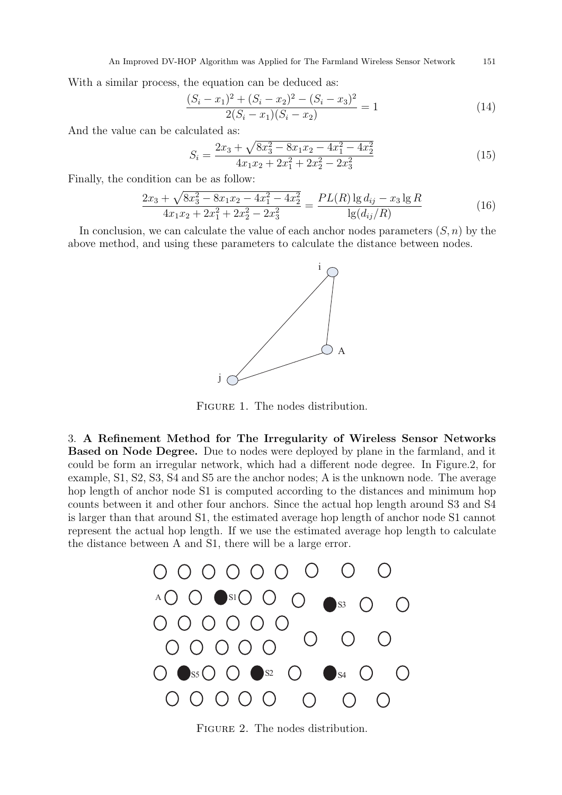With a similar process, the equation can be deduced as:

$$
\frac{(S_i - x_1)^2 + (S_i - x_2)^2 - (S_i - x_3)^2}{2(S_i - x_1)(S_i - x_2)} = 1
$$
\n(14)

And the value can be calculated as:

$$
S_i = \frac{2x_3 + \sqrt{8x_3^2 - 8x_1x_2 - 4x_1^2 - 4x_2^2}}{4x_1x_2 + 2x_1^2 + 2x_2^2 - 2x_3^2}
$$
(15)

Finally, the condition can be as follow:

$$
\frac{2x_3 + \sqrt{8x_3^2 - 8x_1x_2 - 4x_1^2 - 4x_2^2}}{4x_1x_2 + 2x_1^2 + 2x_2^2 - 2x_3^2} = \frac{PL(R) \lg d_{ij} - x_3 \lg R}{\lg(d_{ij}/R)}\tag{16}
$$

In conclusion, we can calculate the value of each anchor nodes parameters  $(S, n)$  by the above method, and using these parameters to calculate the distance between nodes.



FIGURE 1. The nodes distribution.

3. A Refinement Method for The Irregularity of Wireless Sensor Networks Based on Node Degree. Due to nodes were deployed by plane in the farmland, and it could be form an irregular network, which had a different node degree. In Figure.2, for example, S1, S2, S3, S4 and S5 are the anchor nodes; A is the unknown node. The average hop length of anchor node S1 is computed according to the distances and minimum hop counts between it and other four anchors. Since the actual hop length around S3 and S4 is larger than that around S1, the estimated average hop length of anchor node S1 cannot represent the actual hop length. If we use the estimated average hop length to calculate the distance between A and S1, there will be a large error.



FIGURE 2. The nodes distribution.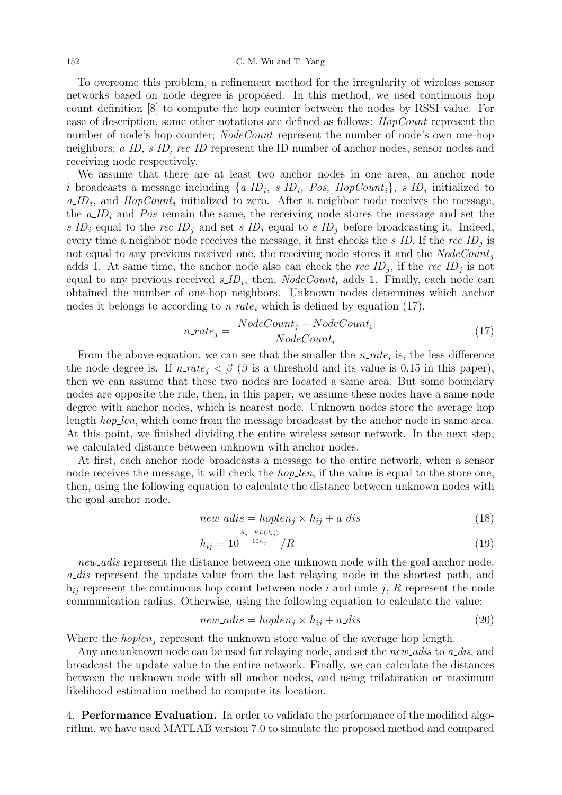To overcome this problem, a refinement method for the irregularity of wireless sensor networks based on node degree is proposed. In this method, we used continuous hop count definition [8] to compute the hop counter between the nodes by RSSI value. For ease of description, some other notations are defined as follows: HopCount represent the number of node's hop counter; *NodeCount* represent the number of node's own one-hop neighbors; a\_ID, s\_ID, rec\_ID represent the ID number of anchor nodes, sensor nodes and receiving node respectively.

We assume that there are at least two anchor nodes in one area, an anchor node i broadcasts a message including  $\{a\_ID_i, s\_ID_i, Pos, HopCount_i\}, s\_ID_i$  initialized to  $a_{\mu}ID_i$ , and  $HopCount_i$  initialized to zero. After a neighbor node receives the message, the  $a$ <sub>ID<sub>i</sub></sub> and P<sub>os</sub> remain the same, the receiving node stores the message and set the s ID<sub>i</sub> equal to the rec ID<sub>j</sub> and set s ID<sub>i</sub> equal to s ID<sub>j</sub> before broadcasting it. Indeed, every time a neighbor node receives the message, it first checks the  $s\_ID$ . If the rec $ID_j$  is not equal to any previous received one, the receiving node stores it and the  $NodeCount_i$ adds 1. At same time, the anchor node also can check the  $rec\_ID_j$ , if the  $rec\_ID_j$  is not equal to any previous received  $s_\textit{ID}_i$ , then,  $NodeCount_i$  adds 1. Finally, each node can obtained the number of one-hop neighbors. Unknown nodes determines which anchor nodes it belongs to according to  $n$ -rate<sub>i</sub> which is defined by equation (17).

$$
n_rate_j = \frac{|NodeCount_j - NodeCount_i|}{NodeCount_i}
$$
\n
$$
(17)
$$

From the above equation, we can see that the smaller the  $n_rate_i$  is, the less difference the node degree is. If  $n_rate_i < \beta$  ( $\beta$  is a threshold and its value is 0.15 in this paper), then we can assume that these two nodes are located a same area. But some boundary nodes are opposite the rule, then, in this paper, we assume these nodes have a same node degree with anchor nodes, which is nearest node. Unknown nodes store the average hop length *hop\_len*, which come from the message broadcast by the anchor node in same area. At this point, we finished dividing the entire wireless sensor network. In the next step, we calculated distance between unknown with anchor nodes.

At first, each anchor node broadcasts a message to the entire network, when a sensor node receives the message, it will check the *hop-len*, if the value is equal to the store one, then, using the following equation to calculate the distance between unknown nodes with the goal anchor node.

$$
new\_adis = hoplen_j \times h_{ij} + a\_dis
$$
\n<sup>(18)</sup>

$$
h_{ij} = 10^{\frac{S_j - PL(d_{ij})}{10n_j}} / R
$$
\n(19)

new adis represent the distance between one unknown node with the goal anchor node. a dis represent the update value from the last relaying node in the shortest path, and  $h_{ij}$  represent the continuous hop count between node i and node j, R represent the node communication radius. Otherwise, using the following equation to calculate the value:

$$
new\_adis = hoplen_j \times h_{ij} + a\_dis \tag{20}
$$

Where the  $hoplen_i$  represent the unknown store value of the average hop length.

Any one unknown node can be used for relaying node, and set the  $new\_adis$  to  $a\_dis$ , and broadcast the update value to the entire network. Finally, we can calculate the distances between the unknown node with all anchor nodes, and using trilateration or maximum likelihood estimation method to compute its location.

4. Performance Evaluation. In order to validate the performance of the modified algorithm, we have used MATLAB version 7.0 to simulate the proposed method and compared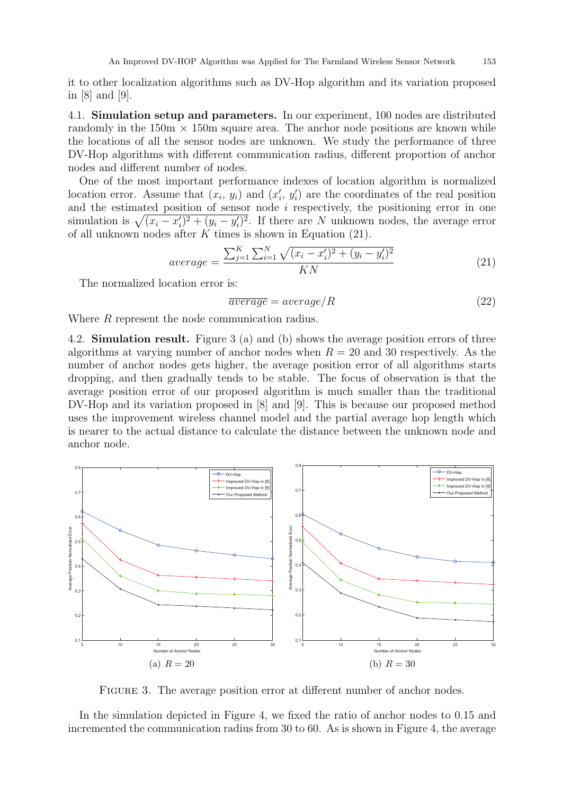it to other localization algorithms such as DV-Hop algorithm and its variation proposed in [8] and [9].

4.1. Simulation setup and parameters. In our experiment, 100 nodes are distributed randomly in the  $150m \times 150m$  square area. The anchor node positions are known while the locations of all the sensor nodes are unknown. We study the performance of three DV-Hop algorithms with different communication radius, different proportion of anchor nodes and different number of nodes.

One of the most important performance indexes of location algorithm is normalized location error. Assume that  $(x_i, y_i)$  and  $(x'_i, y'_i)$  are the coordinates of the real position and the estimated position of sensor node  $i$  respectively, the positioning error in one simulation is  $\sqrt{(x_i - x'_i)^2 + (y_i - y'_i)^2}$ . If there are N unknown nodes, the average error of all unknown nodes after  $K$  times is shown in Equation (21).

$$
average = \frac{\sum_{j=1}^{K} \sum_{i=1}^{N} \sqrt{(x_i - x'_i)^2 + (y_i - y'_i)^2}}{KN}
$$
\n(21)

The normalized location error is:

$$
\overline{average} = average/R \tag{22}
$$

Where R represent the node communication radius.

4.2. Simulation result. Figure 3 (a) and (b) shows the average position errors of three algorithms at varying number of anchor nodes when  $R = 20$  and 30 respectively. As the number of anchor nodes gets higher, the average position error of all algorithms starts dropping, and then gradually tends to be stable. The focus of observation is that the average position error of our proposed algorithm is much smaller than the traditional DV-Hop and its variation proposed in [8] and [9]. This is because our proposed method uses the improvement wireless channel model and the partial average hop length which is nearer to the actual distance to calculate the distance between the unknown node and anchor node.



FIGURE 3. The average position error at different number of anchor nodes.

In the simulation depicted in Figure 4, we fixed the ratio of anchor nodes to 0.15 and incremented the communication radius from 30 to 60. As is shown in Figure 4, the average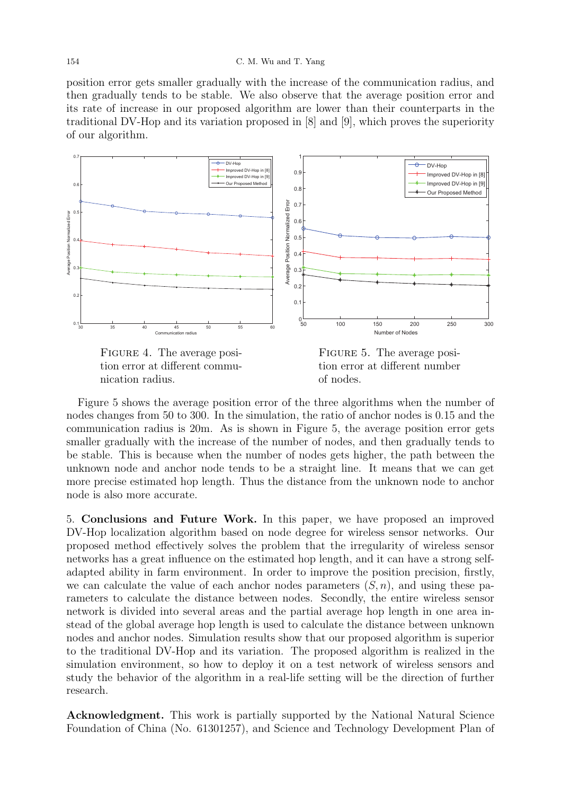## 154 C. M. Wu and T. Yang

position error gets smaller gradually with the increase of the communication radius, and then gradually tends to be stable. We also observe that the average position error and its rate of increase in our proposed algorithm are lower than their counterparts in the traditional DV-Hop and its variation proposed in [8] and [9], which proves the superiority of our algorithm.



FIGURE 4. The average position error at different communication radius.



Figure 5 shows the average position error of the three algorithms when the number of nodes changes from 50 to 300. In the simulation, the ratio of anchor nodes is 0.15 and the communication radius is 20m. As is shown in Figure 5, the average position error gets smaller gradually with the increase of the number of nodes, and then gradually tends to be stable. This is because when the number of nodes gets higher, the path between the unknown node and anchor node tends to be a straight line. It means that we can get more precise estimated hop length. Thus the distance from the unknown node to anchor node is also more accurate.

5. Conclusions and Future Work. In this paper, we have proposed an improved DV-Hop localization algorithm based on node degree for wireless sensor networks. Our proposed method effectively solves the problem that the irregularity of wireless sensor networks has a great influence on the estimated hop length, and it can have a strong selfadapted ability in farm environment. In order to improve the position precision, firstly, we can calculate the value of each anchor nodes parameters  $(S, n)$ , and using these parameters to calculate the distance between nodes. Secondly, the entire wireless sensor network is divided into several areas and the partial average hop length in one area instead of the global average hop length is used to calculate the distance between unknown nodes and anchor nodes. Simulation results show that our proposed algorithm is superior to the traditional DV-Hop and its variation. The proposed algorithm is realized in the simulation environment, so how to deploy it on a test network of wireless sensors and study the behavior of the algorithm in a real-life setting will be the direction of further research.

Acknowledgment. This work is partially supported by the National Natural Science Foundation of China (No. 61301257), and Science and Technology Development Plan of